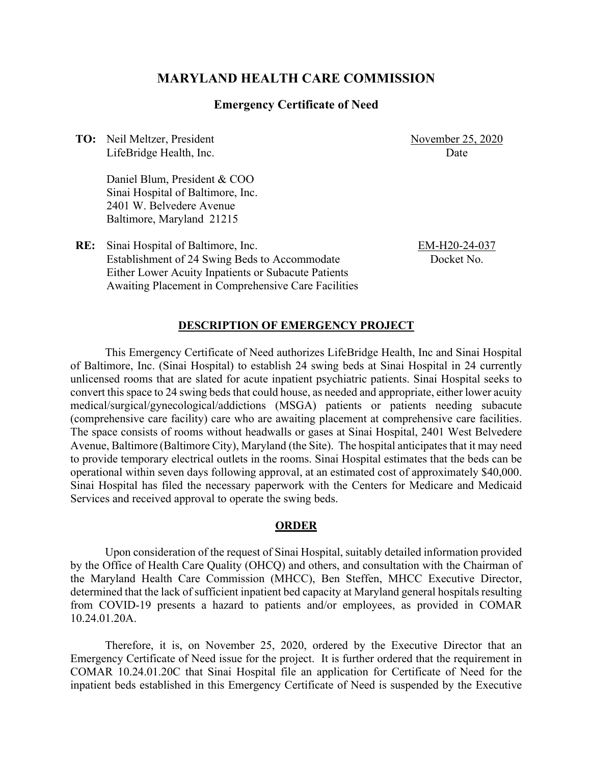## **MARYLAND HEALTH CARE COMMISSION**

### **Emergency Certificate of Need**

**TO:** Neil Meltzer, President LifeBridge Health, Inc. November 25, 2020 **Date** 

Daniel Blum, President & COO Sinai Hospital of Baltimore, Inc. 2401 W. Belvedere Avenue Baltimore, Maryland 21215

**RE:** Sinai Hospital of Baltimore, Inc. Establishment of 24 Swing Beds to Accommodate Either Lower Acuity Inpatients or Subacute Patients Awaiting Placement in Comprehensive Care Facilities EM-H20-24-037 Docket No.

### **DESCRIPTION OF EMERGENCY PROJECT**

This Emergency Certificate of Need authorizes LifeBridge Health, Inc and Sinai Hospital of Baltimore, Inc. (Sinai Hospital) to establish 24 swing beds at Sinai Hospital in 24 currently unlicensed rooms that are slated for acute inpatient psychiatric patients. Sinai Hospital seeks to convert this space to 24 swing beds that could house, as needed and appropriate, either lower acuity medical/surgical/gynecological/addictions (MSGA) patients or patients needing subacute (comprehensive care facility) care who are awaiting placement at comprehensive care facilities. The space consists of rooms without headwalls or gases at Sinai Hospital, 2401 West Belvedere Avenue, Baltimore (Baltimore City), Maryland (the Site). The hospital anticipates that it may need to provide temporary electrical outlets in the rooms. Sinai Hospital estimates that the beds can be operational within seven days following approval, at an estimated cost of approximately \$40,000. Sinai Hospital has filed the necessary paperwork with the Centers for Medicare and Medicaid Services and received approval to operate the swing beds.

#### **ORDER**

Upon consideration of the request of Sinai Hospital, suitably detailed information provided by the Office of Health Care Quality (OHCQ) and others, and consultation with the Chairman of the Maryland Health Care Commission (MHCC), Ben Steffen, MHCC Executive Director, determined that the lack of sufficient inpatient bed capacity at Maryland general hospitals resulting from COVID-19 presents a hazard to patients and/or employees, as provided in COMAR 10.24.01.20A.

Therefore, it is, on November 25, 2020, ordered by the Executive Director that an Emergency Certificate of Need issue for the project. It is further ordered that the requirement in COMAR 10.24.01.20C that Sinai Hospital file an application for Certificate of Need for the inpatient beds established in this Emergency Certificate of Need is suspended by the Executive